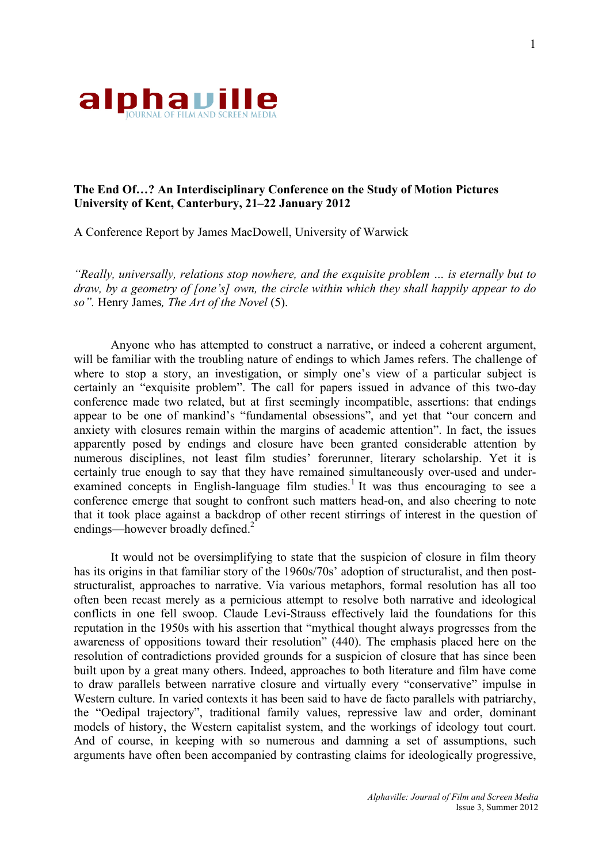

## **The End Of…? An Interdisciplinary Conference on the Study of Motion Pictures University of Kent, Canterbury, 21–22 January 2012**

A Conference Report by James MacDowell, University of Warwick

*"Really, universally, relations stop nowhere, and the exquisite problem … is eternally but to draw, by a geometry of [one's] own, the circle within which they shall happily appear to do so".* Henry James*, The Art of the Novel* (5).

Anyone who has attempted to construct a narrative, or indeed a coherent argument, will be familiar with the troubling nature of endings to which James refers. The challenge of where to stop a story, an investigation, or simply one's view of a particular subject is certainly an "exquisite problem". The call for papers issued in advance of this two-day conference made two related, but at first seemingly incompatible, assertions: that endings appear to be one of mankind's "fundamental obsessions", and yet that "our concern and anxiety with closures remain within the margins of academic attention". In fact, the issues apparently posed by endings and closure have been granted considerable attention by numerous disciplines, not least film studies' forerunner, literary scholarship. Yet it is certainly true enough to say that they have remained simultaneously over-used and underexamined concepts in English-language film studies.<sup>1</sup> It was thus encouraging to see a conference emerge that sought to confront such matters head-on, and also cheering to note that it took place against a backdrop of other recent stirrings of interest in the question of endings—however broadly defined.<sup>2</sup>

It would not be oversimplifying to state that the suspicion of closure in film theory has its origins in that familiar story of the 1960s/70s' adoption of structuralist, and then poststructuralist, approaches to narrative. Via various metaphors, formal resolution has all too often been recast merely as a pernicious attempt to resolve both narrative and ideological conflicts in one fell swoop. Claude Levi-Strauss effectively laid the foundations for this reputation in the 1950s with his assertion that "mythical thought always progresses from the awareness of oppositions toward their resolution" (440). The emphasis placed here on the resolution of contradictions provided grounds for a suspicion of closure that has since been built upon by a great many others. Indeed, approaches to both literature and film have come to draw parallels between narrative closure and virtually every "conservative" impulse in Western culture. In varied contexts it has been said to have de facto parallels with patriarchy, the "Oedipal trajectory", traditional family values, repressive law and order, dominant models of history, the Western capitalist system, and the workings of ideology tout court. And of course, in keeping with so numerous and damning a set of assumptions, such arguments have often been accompanied by contrasting claims for ideologically progressive,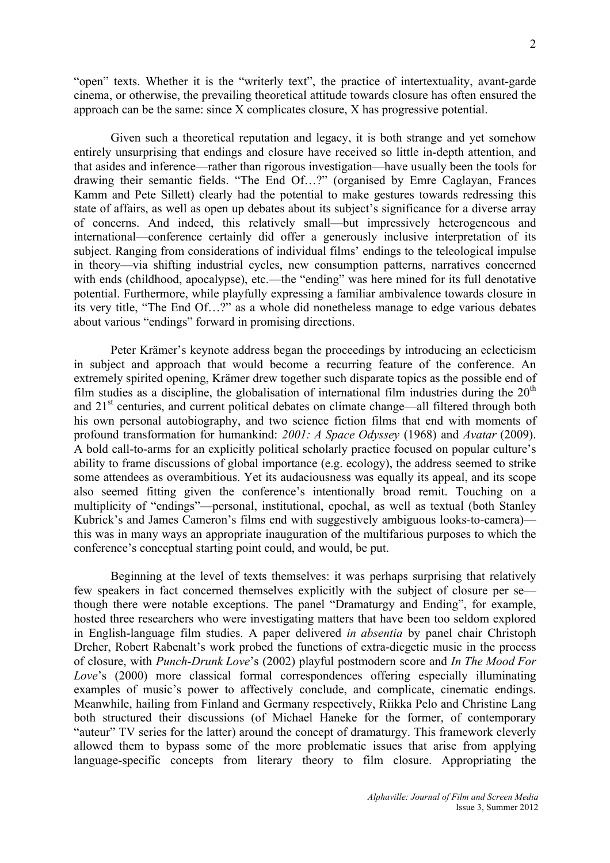"open" texts. Whether it is the "writerly text", the practice of intertextuality, avant-garde cinema, or otherwise, the prevailing theoretical attitude towards closure has often ensured the approach can be the same: since X complicates closure, X has progressive potential.

Given such a theoretical reputation and legacy, it is both strange and yet somehow entirely unsurprising that endings and closure have received so little in-depth attention, and that asides and inference—rather than rigorous investigation—have usually been the tools for drawing their semantic fields. "The End Of…?" (organised by Emre Caglayan, Frances Kamm and Pete Sillett) clearly had the potential to make gestures towards redressing this state of affairs, as well as open up debates about its subject's significance for a diverse array of concerns. And indeed, this relatively small—but impressively heterogeneous and international—conference certainly did offer a generously inclusive interpretation of its subject. Ranging from considerations of individual films' endings to the teleological impulse in theory—via shifting industrial cycles, new consumption patterns, narratives concerned with ends (childhood, apocalypse), etc.—the "ending" was here mined for its full denotative potential. Furthermore, while playfully expressing a familiar ambivalence towards closure in its very title, "The End Of…?" as a whole did nonetheless manage to edge various debates about various "endings" forward in promising directions.

Peter Krämer's keynote address began the proceedings by introducing an eclecticism in subject and approach that would become a recurring feature of the conference. An extremely spirited opening, Krämer drew together such disparate topics as the possible end of film studies as a discipline, the globalisation of international film industries during the  $20<sup>th</sup>$ and  $21<sup>st</sup>$  centuries, and current political debates on climate change—all filtered through both his own personal autobiography, and two science fiction films that end with moments of profound transformation for humankind: *2001: A Space Odyssey* (1968) and *Avatar* (2009). A bold call-to-arms for an explicitly political scholarly practice focused on popular culture's ability to frame discussions of global importance (e.g. ecology), the address seemed to strike some attendees as overambitious. Yet its audaciousness was equally its appeal, and its scope also seemed fitting given the conference's intentionally broad remit. Touching on a multiplicity of "endings"—personal, institutional, epochal, as well as textual (both Stanley Kubrick's and James Cameron's films end with suggestively ambiguous looks-to-camera) this was in many ways an appropriate inauguration of the multifarious purposes to which the conference's conceptual starting point could, and would, be put.

Beginning at the level of texts themselves: it was perhaps surprising that relatively few speakers in fact concerned themselves explicitly with the subject of closure per se though there were notable exceptions. The panel "Dramaturgy and Ending", for example, hosted three researchers who were investigating matters that have been too seldom explored in English-language film studies. A paper delivered *in absentia* by panel chair Christoph Dreher, Robert Rabenalt's work probed the functions of extra-diegetic music in the process of closure, with *Punch-Drunk Love*'s (2002) playful postmodern score and *In The Mood For Love*'s (2000) more classical formal correspondences offering especially illuminating examples of music's power to affectively conclude, and complicate, cinematic endings. Meanwhile, hailing from Finland and Germany respectively, Riikka Pelo and Christine Lang both structured their discussions (of Michael Haneke for the former, of contemporary "auteur" TV series for the latter) around the concept of dramaturgy. This framework cleverly allowed them to bypass some of the more problematic issues that arise from applying language-specific concepts from literary theory to film closure. Appropriating the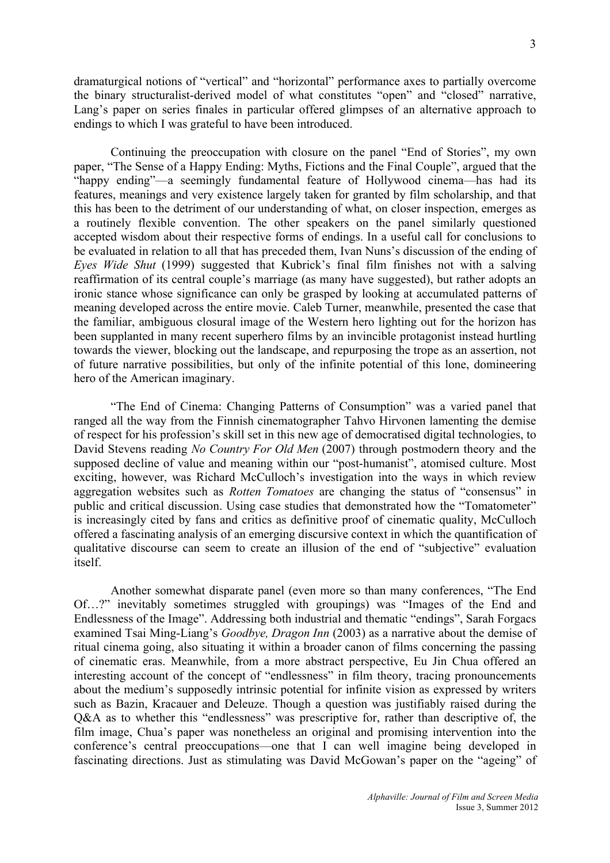dramaturgical notions of "vertical" and "horizontal" performance axes to partially overcome the binary structuralist-derived model of what constitutes "open" and "closed" narrative, Lang's paper on series finales in particular offered glimpses of an alternative approach to endings to which I was grateful to have been introduced.

Continuing the preoccupation with closure on the panel "End of Stories", my own paper, "The Sense of a Happy Ending: Myths, Fictions and the Final Couple", argued that the "happy ending"—a seemingly fundamental feature of Hollywood cinema—has had its features, meanings and very existence largely taken for granted by film scholarship, and that this has been to the detriment of our understanding of what, on closer inspection, emerges as a routinely flexible convention. The other speakers on the panel similarly questioned accepted wisdom about their respective forms of endings. In a useful call for conclusions to be evaluated in relation to all that has preceded them, Ivan Nuns's discussion of the ending of *Eyes Wide Shut* (1999) suggested that Kubrick's final film finishes not with a salving reaffirmation of its central couple's marriage (as many have suggested), but rather adopts an ironic stance whose significance can only be grasped by looking at accumulated patterns of meaning developed across the entire movie. Caleb Turner, meanwhile, presented the case that the familiar, ambiguous closural image of the Western hero lighting out for the horizon has been supplanted in many recent superhero films by an invincible protagonist instead hurtling towards the viewer, blocking out the landscape, and repurposing the trope as an assertion, not of future narrative possibilities, but only of the infinite potential of this lone, domineering hero of the American imaginary.

"The End of Cinema: Changing Patterns of Consumption" was a varied panel that ranged all the way from the Finnish cinematographer Tahvo Hirvonen lamenting the demise of respect for his profession's skill set in this new age of democratised digital technologies, to David Stevens reading *No Country For Old Men* (2007) through postmodern theory and the supposed decline of value and meaning within our "post-humanist", atomised culture. Most exciting, however, was Richard McCulloch's investigation into the ways in which review aggregation websites such as *Rotten Tomatoes* are changing the status of "consensus" in public and critical discussion. Using case studies that demonstrated how the "Tomatometer" is increasingly cited by fans and critics as definitive proof of cinematic quality, McCulloch offered a fascinating analysis of an emerging discursive context in which the quantification of qualitative discourse can seem to create an illusion of the end of "subjective" evaluation itself.

Another somewhat disparate panel (even more so than many conferences, "The End Of…?" inevitably sometimes struggled with groupings) was "Images of the End and Endlessness of the Image". Addressing both industrial and thematic "endings", Sarah Forgacs examined Tsai Ming-Liang's *Goodbye, Dragon Inn* (2003) as a narrative about the demise of ritual cinema going, also situating it within a broader canon of films concerning the passing of cinematic eras. Meanwhile, from a more abstract perspective, Eu Jin Chua offered an interesting account of the concept of "endlessness" in film theory, tracing pronouncements about the medium's supposedly intrinsic potential for infinite vision as expressed by writers such as Bazin, Kracauer and Deleuze. Though a question was justifiably raised during the Q&A as to whether this "endlessness" was prescriptive for, rather than descriptive of, the film image, Chua's paper was nonetheless an original and promising intervention into the conference's central preoccupations—one that I can well imagine being developed in fascinating directions. Just as stimulating was David McGowan's paper on the "ageing" of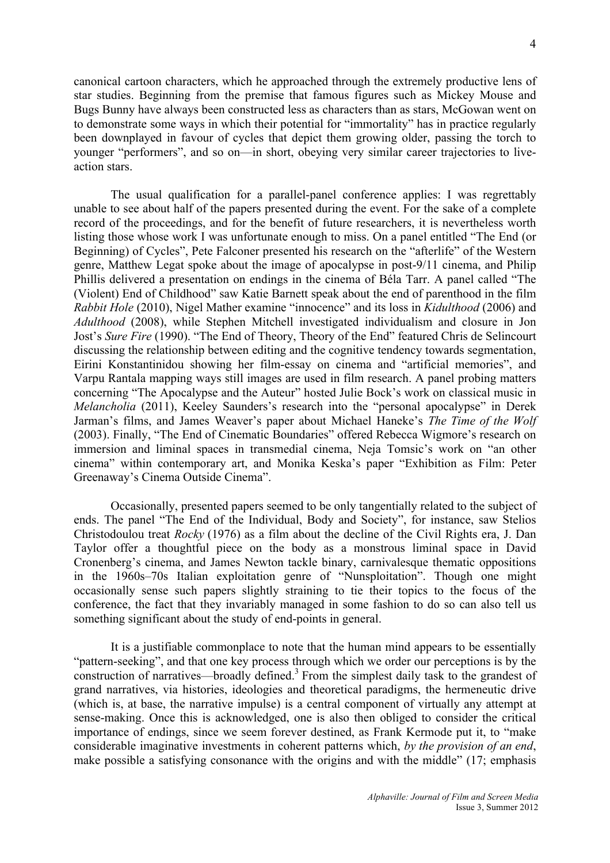canonical cartoon characters, which he approached through the extremely productive lens of star studies. Beginning from the premise that famous figures such as Mickey Mouse and Bugs Bunny have always been constructed less as characters than as stars, McGowan went on to demonstrate some ways in which their potential for "immortality" has in practice regularly been downplayed in favour of cycles that depict them growing older, passing the torch to younger "performers", and so on—in short, obeying very similar career trajectories to liveaction stars.

The usual qualification for a parallel-panel conference applies: I was regrettably unable to see about half of the papers presented during the event. For the sake of a complete record of the proceedings, and for the benefit of future researchers, it is nevertheless worth listing those whose work I was unfortunate enough to miss. On a panel entitled "The End (or Beginning) of Cycles", Pete Falconer presented his research on the "afterlife" of the Western genre, Matthew Legat spoke about the image of apocalypse in post-9/11 cinema, and Philip Phillis delivered a presentation on endings in the cinema of Béla Tarr. A panel called "The (Violent) End of Childhood" saw Katie Barnett speak about the end of parenthood in the film *Rabbit Hole* (2010), Nigel Mather examine "innocence" and its loss in *Kidulthood* (2006) and *Adulthood* (2008), while Stephen Mitchell investigated individualism and closure in Jon Jost's *Sure Fire* (1990). "The End of Theory, Theory of the End" featured Chris de Selincourt discussing the relationship between editing and the cognitive tendency towards segmentation, Eirini Konstantinidou showing her film-essay on cinema and "artificial memories", and Varpu Rantala mapping ways still images are used in film research. A panel probing matters concerning "The Apocalypse and the Auteur" hosted Julie Bock's work on classical music in *Melancholia* (2011), Keeley Saunders's research into the "personal apocalypse" in Derek Jarman's films, and James Weaver's paper about Michael Haneke's *The Time of the Wolf* (2003). Finally, "The End of Cinematic Boundaries" offered Rebecca Wigmore's research on immersion and liminal spaces in transmedial cinema, Neja Tomsic's work on "an other cinema" within contemporary art, and Monika Keska's paper "Exhibition as Film: Peter Greenaway's Cinema Outside Cinema".

Occasionally, presented papers seemed to be only tangentially related to the subject of ends. The panel "The End of the Individual, Body and Society", for instance, saw Stelios Christodoulou treat *Rocky* (1976) as a film about the decline of the Civil Rights era, J. Dan Taylor offer a thoughtful piece on the body as a monstrous liminal space in David Cronenberg's cinema, and James Newton tackle binary, carnivalesque thematic oppositions in the 1960s–70s Italian exploitation genre of "Nunsploitation". Though one might occasionally sense such papers slightly straining to tie their topics to the focus of the conference, the fact that they invariably managed in some fashion to do so can also tell us something significant about the study of end-points in general.

It is a justifiable commonplace to note that the human mind appears to be essentially "pattern-seeking", and that one key process through which we order our perceptions is by the construction of narratives—broadly defined.<sup>3</sup> From the simplest daily task to the grandest of grand narratives, via histories, ideologies and theoretical paradigms, the hermeneutic drive (which is, at base, the narrative impulse) is a central component of virtually any attempt at sense-making. Once this is acknowledged, one is also then obliged to consider the critical importance of endings, since we seem forever destined, as Frank Kermode put it, to "make considerable imaginative investments in coherent patterns which, *by the provision of an end*, make possible a satisfying consonance with the origins and with the middle" (17; emphasis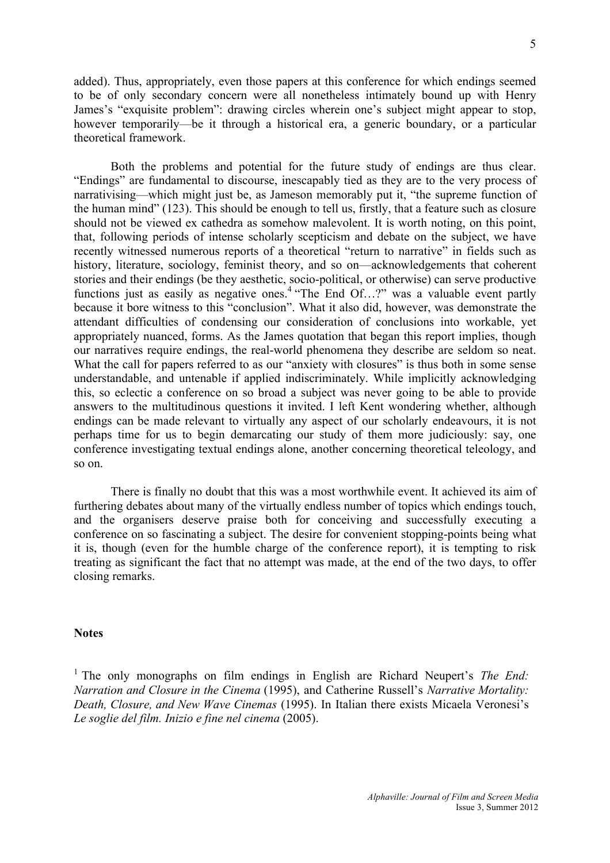added). Thus, appropriately, even those papers at this conference for which endings seemed to be of only secondary concern were all nonetheless intimately bound up with Henry James's "exquisite problem": drawing circles wherein one's subject might appear to stop, however temporarily—be it through a historical era, a generic boundary, or a particular theoretical framework.

Both the problems and potential for the future study of endings are thus clear. "Endings" are fundamental to discourse, inescapably tied as they are to the very process of narrativising—which might just be, as Jameson memorably put it, "the supreme function of the human mind" (123). This should be enough to tell us, firstly, that a feature such as closure should not be viewed ex cathedra as somehow malevolent. It is worth noting, on this point, that, following periods of intense scholarly scepticism and debate on the subject, we have recently witnessed numerous reports of a theoretical "return to narrative" in fields such as history, literature, sociology, feminist theory, and so on—acknowledgements that coherent stories and their endings (be they aesthetic, socio-political, or otherwise) can serve productive functions just as easily as negative ones.<sup>4</sup> "The End Of...?" was a valuable event partly because it bore witness to this "conclusion". What it also did, however, was demonstrate the attendant difficulties of condensing our consideration of conclusions into workable, yet appropriately nuanced, forms. As the James quotation that began this report implies, though our narratives require endings, the real-world phenomena they describe are seldom so neat. What the call for papers referred to as our "anxiety with closures" is thus both in some sense understandable, and untenable if applied indiscriminately. While implicitly acknowledging this, so eclectic a conference on so broad a subject was never going to be able to provide answers to the multitudinous questions it invited. I left Kent wondering whether, although endings can be made relevant to virtually any aspect of our scholarly endeavours, it is not perhaps time for us to begin demarcating our study of them more judiciously: say, one conference investigating textual endings alone, another concerning theoretical teleology, and so on.

There is finally no doubt that this was a most worthwhile event. It achieved its aim of furthering debates about many of the virtually endless number of topics which endings touch, and the organisers deserve praise both for conceiving and successfully executing a conference on so fascinating a subject. The desire for convenient stopping-points being what it is, though (even for the humble charge of the conference report), it is tempting to risk treating as significant the fact that no attempt was made, at the end of the two days, to offer closing remarks.

## **Notes**

<sup>1</sup> The only monographs on film endings in English are Richard Neupert's *The End*: *Narration and Closure in the Cinema* (1995), and Catherine Russell's *Narrative Mortality: Death, Closure, and New Wave Cinemas* (1995). In Italian there exists Micaela Veronesi's *Le soglie del film. Inizio e fine nel cinema* (2005).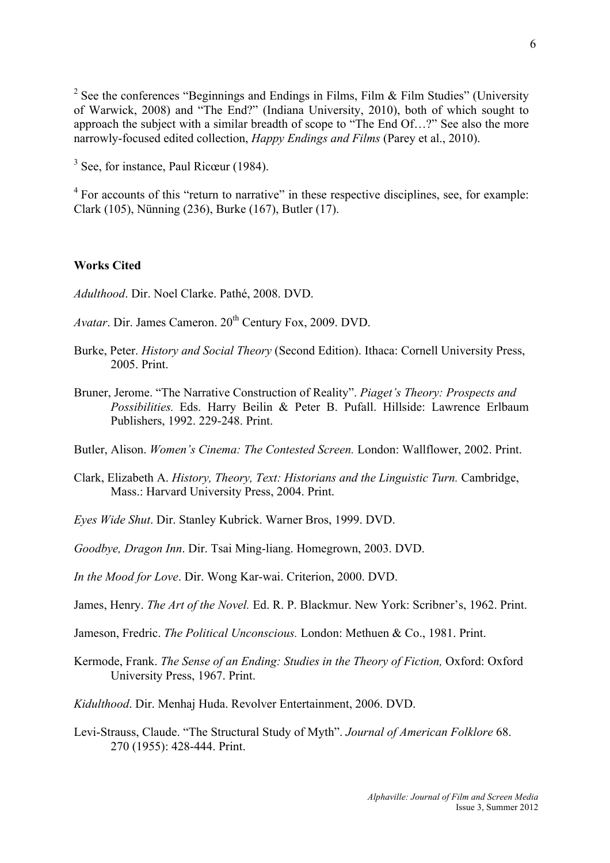<sup>2</sup> See the conferences "Beginnings and Endings in Films, Film & Film Studies" (University of Warwick, 2008) and "The End?" (Indiana University, 2010), both of which sought to approach the subject with a similar breadth of scope to "The End Of…?" See also the more narrowly-focused edited collection, *Happy Endings and Films* (Parey et al., 2010).

<sup>3</sup> See, for instance, Paul Ricœur (1984).

<sup>4</sup> For accounts of this "return to narrative" in these respective disciplines, see, for example: Clark (105), Nünning (236), Burke (167), Butler (17).

## **Works Cited**

*Adulthood*. Dir. Noel Clarke. Pathé, 2008. DVD.

- *Avatar*. Dir. James Cameron. 20th Century Fox, 2009. DVD.
- Burke, Peter. *History and Social Theory* (Second Edition). Ithaca: Cornell University Press, 2005. Print.
- Bruner, Jerome. "The Narrative Construction of Reality". *Piaget's Theory: Prospects and Possibilities.* Eds. Harry Beilin & Peter B. Pufall. Hillside: Lawrence Erlbaum Publishers, 1992. 229-248. Print.
- Butler, Alison. *Women's Cinema: The Contested Screen.* London: Wallflower, 2002. Print.
- Clark, Elizabeth A. *History, Theory, Text: Historians and the Linguistic Turn.* Cambridge, Mass.: Harvard University Press, 2004. Print.
- *Eyes Wide Shut*. Dir. Stanley Kubrick. Warner Bros, 1999. DVD.
- *Goodbye, Dragon Inn*. Dir. Tsai Ming-liang. Homegrown, 2003. DVD.
- *In the Mood for Love*. Dir. Wong Kar-wai. Criterion, 2000. DVD.
- James, Henry. *The Art of the Novel.* Ed. R. P. Blackmur. New York: Scribner's, 1962. Print.
- Jameson, Fredric. *The Political Unconscious.* London: Methuen & Co., 1981. Print.
- Kermode, Frank. *The Sense of an Ending: Studies in the Theory of Fiction*. Oxford: Oxford University Press, 1967. Print.
- *Kidulthood*. Dir. Menhaj Huda. Revolver Entertainment, 2006. DVD.
- Levi-Strauss, Claude. "The Structural Study of Myth". *Journal of American Folklore* 68. 270 (1955): 428-444. Print.